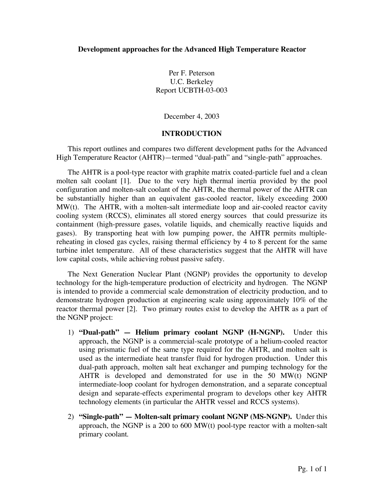Per F. Peterson U.C. Berkeley Report UCBTH-03-003

December 4, 2003

## **INTRODUCTION**

This report outlines and compares two different development paths for the Advanced High Temperature Reactor (AHTR)—termed "dual-path" and "single-path" approaches.

The AHTR is a pool-type reactor with graphite matrix coated-particle fuel and a clean molten salt coolant [1]. Due to the very high thermal inertia provided by the pool configuration and molten-salt coolant of the AHTR, the thermal power of the AHTR can be substantially higher than an equivalent gas-cooled reactor, likely exceeding 2000 MW(t). The AHTR, with a molten-salt intermediate loop and air-cooled reactor cavity cooling system (RCCS), eliminates all stored energy sources that could pressurize its containment (high-pressure gases, volatile liquids, and chemically reactive liquids and gases). By transporting heat with low pumping power, the AHTR permits multiplereheating in closed gas cycles, raising thermal efficiency by 4 to 8 percent for the same turbine inlet temperature. All of these characteristics suggest that the AHTR will have low capital costs, while achieving robust passive safety.

The Next Generation Nuclear Plant (NGNP) provides the opportunity to develop technology for the high-temperature production of electricity and hydrogen. The NGNP is intended to provide a commercial scale demonstration of electricity production, and to demonstrate hydrogen production at engineering scale using approximately 10% of the reactor thermal power [2]. Two primary routes exist to develop the AHTR as a part of the NGNP project:

- 1) **"Dual-path" Helium primary coolant NGNP (H-NGNP).** Under this approach, the NGNP is a commercial-scale prototype of a helium-cooled reactor using prismatic fuel of the same type required for the AHTR, and molten salt is used as the intermediate heat transfer fluid for hydrogen production. Under this dual-path approach, molten salt heat exchanger and pumping technology for the AHTR is developed and demonstrated for use in the 50 MW(t) NGNP intermediate-loop coolant for hydrogen demonstration, and a separate conceptual design and separate-effects experimental program to develops other key AHTR technology elements (in particular the AHTR vessel and RCCS systems).
- 2) **"Single-path" Molten-salt primary coolant NGNP (MS-NGNP).** Under this approach, the NGNP is a 200 to 600 MW(t) pool-type reactor with a molten-salt primary coolant.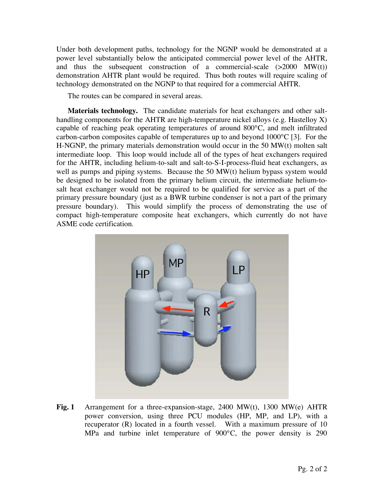Under both development paths, technology for the NGNP would be demonstrated at a power level substantially below the anticipated commercial power level of the AHTR, and thus the subsequent construction of a commercial-scale  $(>2000 \text{ MW}(t))$ demonstration AHTR plant would be required. Thus both routes will require scaling of technology demonstrated on the NGNP to that required for a commercial AHTR.

The routes can be compared in several areas.

**Materials technology.** The candidate materials for heat exchangers and other salthandling components for the AHTR are high-temperature nickel alloys (e.g. Hastelloy X) capable of reaching peak operating temperatures of around 800°C, and melt infiltrated carbon-carbon composites capable of temperatures up to and beyond 1000°C [3]. For the H-NGNP, the primary materials demonstration would occur in the 50 MW(t) molten salt intermediate loop. This loop would include all of the types of heat exchangers required for the AHTR, including helium-to-salt and salt-to-S-I-process-fluid heat exchangers, as well as pumps and piping systems. Because the 50 MW(t) helium bypass system would be designed to be isolated from the primary helium circuit, the intermediate helium-tosalt heat exchanger would not be required to be qualified for service as a part of the primary pressure boundary (just as a BWR turbine condenser is not a part of the primary pressure boundary). This would simplify the process of demonstrating the use of compact high-temperature composite heat exchangers, which currently do not have ASME code certification.



**Fig. 1** Arrangement for a three-expansion-stage, 2400 MW(t), 1300 MW(e) AHTR power conversion, using three PCU modules (HP, MP, and LP), with a recuperator (R) located in a fourth vessel. With a maximum pressure of 10 MPa and turbine inlet temperature of 900°C, the power density is 290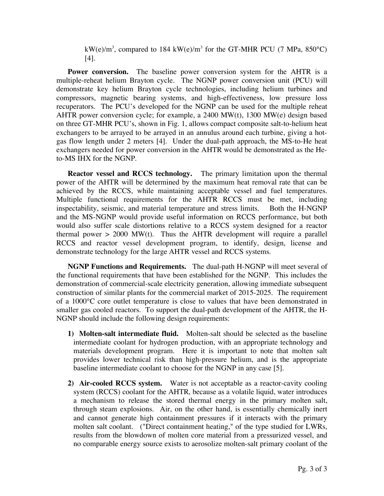kW(e)/m<sup>3</sup>, compared to 184 kW(e)/m<sup>3</sup> for the GT-MHR PCU (7 MPa, 850°C) [4].

**Power conversion.** The baseline power conversion system for the AHTR is a multiple-reheat helium Brayton cycle. The NGNP power conversion unit (PCU) will demonstrate key helium Brayton cycle technologies, including helium turbines and compressors, magnetic bearing systems, and high-effectiveness, low pressure loss recuperators. The PCU's developed for the NGNP can be used for the multiple reheat AHTR power conversion cycle; for example, a 2400 MW(t), 1300 MW(e) design based on three GT-MHR PCU's, shown in Fig. 1, allows compact composite salt-to-helium heat exchangers to be arrayed to be arrayed in an annulus around each turbine, giving a hotgas flow length under 2 meters [4]. Under the dual-path approach, the MS-to-He heat exchangers needed for power conversion in the AHTR would be demonstrated as the Heto-MS IHX for the NGNP.

**Reactor vessel and RCCS technology.** The primary limitation upon the thermal power of the AHTR will be determined by the maximum heat removal rate that can be achieved by the RCCS, while maintaining acceptable vessel and fuel temperatures. Multiple functional requirements for the AHTR RCCS must be met, including inspectability, seismic, and material temperature and stress limits. Both the H-NGNP and the MS-NGNP would provide useful information on RCCS performance, but both would also suffer scale distortions relative to a RCCS system designed for a reactor thermal power  $> 2000$  MW(t). Thus the AHTR development will require a parallel RCCS and reactor vessel development program, to identify, design, license and demonstrate technology for the large AHTR vessel and RCCS systems.

**NGNP Functions and Requirements.** The dual-path H-NGNP will meet several of the functional requirements that have been established for the NGNP. This includes the demonstration of commercial-scale electricity generation, allowing immediate subsequent construction of similar plants for the commercial market of 2015-2025. The requirement of a 1000°C core outlet temperature is close to values that have been demonstrated in smaller gas cooled reactors. To support the dual-path development of the AHTR, the H-NGNP should include the following design requirements:

- **1) Molten-salt intermediate fluid.** Molten-salt should be selected as the baseline intermediate coolant for hydrogen production, with an appropriate technology and materials development program. Here it is important to note that molten salt provides lower technical risk than high-pressure helium, and is the appropriate baseline intermediate coolant to choose for the NGNP in any case [5].
- **2) Air-cooled RCCS system.** Water is not acceptable as a reactor-cavity cooling system (RCCS) coolant for the AHTR, because as a volatile liquid, water introduces a mechanism to release the stored thermal energy in the primary molten salt, through steam explosions. Air, on the other hand, is essentially chemically inert and cannot generate high containment pressures if it interacts with the primary molten salt coolant. ("Direct containment heating," of the type studied for LWRs, results from the blowdown of molten core material from a pressurized vessel, and no comparable energy source exists to aerosolize molten-salt primary coolant of the